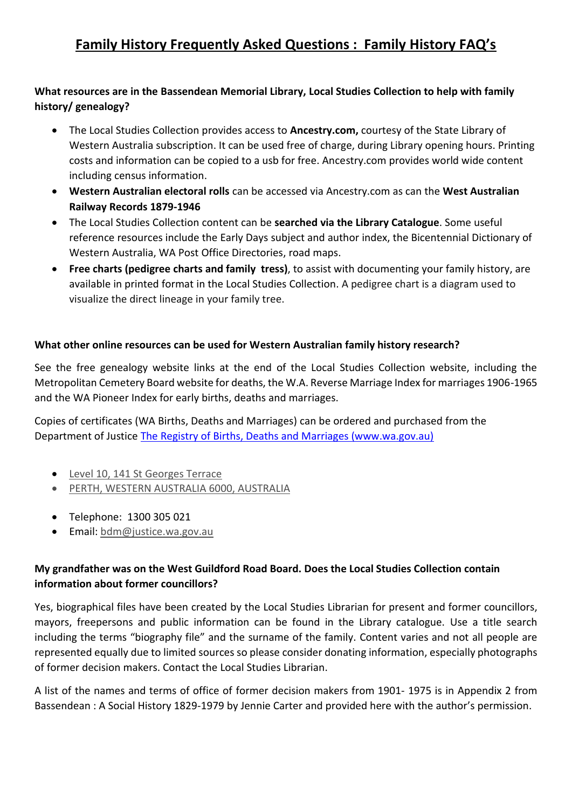# **Family History Frequently Asked Questions : Family History FAQ's**

# **What resources are in the Bassendean Memorial Library, Local Studies Collection to help with family history/ genealogy?**

- The Local Studies Collection provides access to **Ancestry.com,** courtesy of the State Library of Western Australia subscription. It can be used free of charge, during Library opening hours. Printing costs and information can be copied to a usb for free. Ancestry.com provides world wide content including census information.
- **Western Australian electoral rolls** can be accessed via Ancestry.com as can the **West Australian Railway Records 1879-1946**
- The Local Studies Collection content can be **searched via the Library Catalogue**. Some useful reference resources include the Early Days subject and author index, the Bicentennial Dictionary of Western Australia, WA Post Office Directories, road maps.
- **Free charts (pedigree charts and family tress)**, to assist with documenting your family history, are available in printed format in the Local Studies Collection. A pedigree chart is a diagram used to visualize the direct lineage in your family tree.

### **What other online resources can be used for Western Australian family history research?**

See the free genealogy website links at the end of the Local Studies Collection website, including the Metropolitan Cemetery Board website for deaths, the W.A. Reverse Marriage Index for marriages 1906-1965 and the WA Pioneer Index for early births, deaths and marriages.

Copies of certificates (WA Births, Deaths and Marriages) can be ordered and purchased from the Department of Justice [The Registry of Births, Deaths and Marriages \(www.wa.gov.au\)](https://www.wa.gov.au/organisation/department-of-justice/the-registry-of-births-deaths-and-marriages)

- [Level 10, 141 St Georges Terrace](https://maps.google.com/maps?q=Level%2010%2C%20141%20St%20Georges%20Terrace%20PERTH%2C%20WESTERN%20AUSTRALIA%206000%2C%20AUSTRALIA)
- [PERTH, WESTERN AUSTRALIA 6000, AUSTRALIA](https://maps.google.com/maps?q=Level%2010%2C%20141%20St%20Georges%20Terrace%20PERTH%2C%20WESTERN%20AUSTRALIA%206000%2C%20AUSTRALIA)
- Telephone: 1300 305 021
- Email: [bdm@justice.wa.gov.au](mailto:bdm@justice.wa.gov.au)

## **My grandfather was on the West Guildford Road Board. Does the Local Studies Collection contain information about former councillors?**

Yes, biographical files have been created by the Local Studies Librarian for present and former councillors, mayors, freepersons and public information can be found in the Library catalogue. Use a title search including the terms "biography file" and the surname of the family. Content varies and not all people are represented equally due to limited sources so please consider donating information, especially photographs of former decision makers. Contact the Local Studies Librarian.

A list of the names and terms of office of former decision makers from 1901- 1975 is in Appendix 2 from Bassendean : A Social History 1829-1979 by Jennie Carter and provided here with the author's permission.